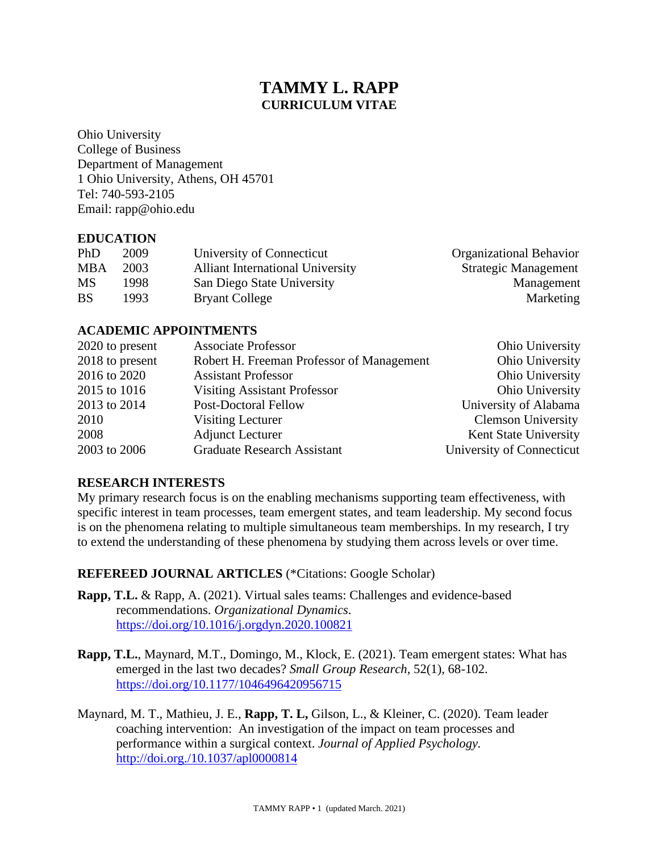# **TAMMY L. RAPP CURRICULUM VITAE**

Ohio University College of Business Department of Management 1 Ohio University, Athens, OH 45701 Tel: 740-593-2105 Email: rapp@ohio.edu

#### **EDUCATION**

| PhD        | 2009  | University of Connecticut               | <b>Organizational Behavior</b> |
|------------|-------|-----------------------------------------|--------------------------------|
| <b>MBA</b> | 2003  | <b>Alliant International University</b> | <b>Strategic Management</b>    |
| <b>MS</b>  | 1998  | San Diego State University              | Management                     |
| <b>BS</b>  | 1993. | <b>Bryant College</b>                   | Marketing                      |

### **ACADEMIC APPOINTMENTS**

| 2020 to present | <b>Associate Professor</b>                | Ohio University           |
|-----------------|-------------------------------------------|---------------------------|
| 2018 to present | Robert H. Freeman Professor of Management | Ohio University           |
| 2016 to 2020    | <b>Assistant Professor</b>                | Ohio University           |
| 2015 to 1016    | <b>Visiting Assistant Professor</b>       | Ohio University           |
| 2013 to 2014    | <b>Post-Doctoral Fellow</b>               | University of Alabama     |
| 2010            | Visiting Lecturer                         | <b>Clemson University</b> |
| 2008            | <b>Adjunct Lecturer</b>                   | Kent State University     |
| 2003 to 2006    | <b>Graduate Research Assistant</b>        | University of Connecticut |

## **RESEARCH INTERESTS**

My primary research focus is on the enabling mechanisms supporting team effectiveness, with specific interest in team processes, team emergent states, and team leadership. My second focus is on the phenomena relating to multiple simultaneous team memberships. In my research, I try to extend the understanding of these phenomena by studying them across levels or over time.

## **REFEREED JOURNAL ARTICLES** (\*Citations: Google Scholar)

- **Rapp, T.L.** & Rapp, A. (2021). Virtual sales teams: Challenges and evidence-based recommendations. *Organizational Dynamics*. <https://doi.org/10.1016/j.orgdyn.2020.100821>
- **Rapp, T.L.**, Maynard, M.T., Domingo, M., Klock, E. (2021). Team emergent states: What has emerged in the last two decades? *Small Group Research,* 52(1), 68-102. [https://doi.org/10.1177/1046496420956715](https://doi.org/10.1177%2F1046496420956715)
- Maynard, M. T., Mathieu, J. E., **Rapp, T. L,** Gilson, L., & Kleiner, C. (2020). Team leader coaching intervention: An investigation of the impact on team processes and performance within a surgical context. *Journal of Applied Psychology.* <http://doi.org./10.1037/apl0000814>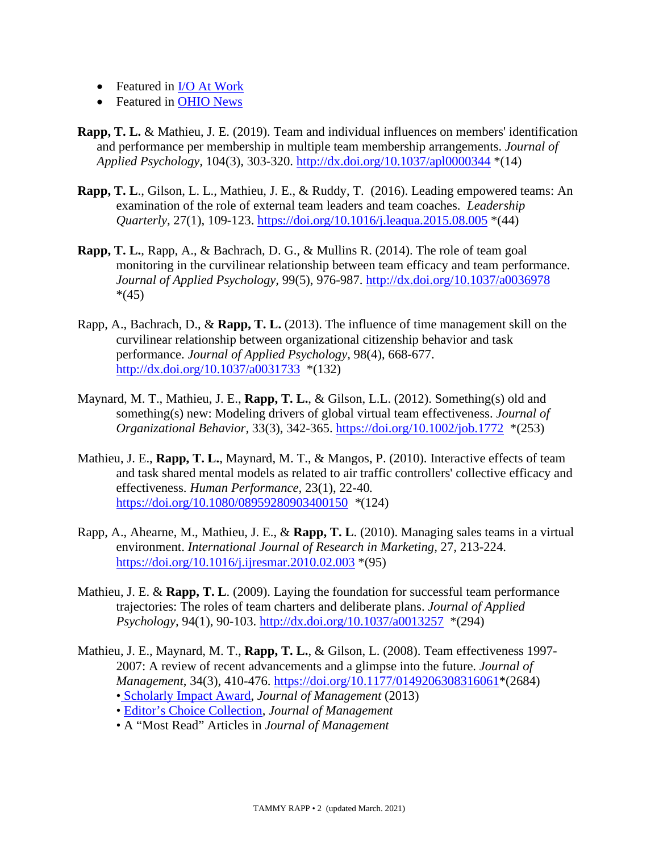- Featured in I/O At Work
- Featured in [OHIO News](https://www.ohio.edu/news/2020/12/ohios-tammy-rapp-collaborates-study-showing-how-leadership-coaching-improves-patient)
- **Rapp, T. L.** & Mathieu, J. E. (2019). Team and individual influences on members' identification and performance per membership in multiple team membership arrangements. *Journal of Applied Psychology,* 104(3)*,* 303-320. <http://dx.doi.org/10.1037/apl0000344> \*(14)
- **Rapp, T. L**., Gilson, L. L., Mathieu, J. E., & Ruddy, T. (2016). Leading empowered teams: An examination of the role of external team leaders and team coaches. *Leadership Quarterly,* 27(1), 109-123. <https://doi.org/10.1016/j.leaqua.2015.08.005> \*(44)
- **Rapp, T. L.**, Rapp, A., & Bachrach, D. G., & Mullins R. (2014). The role of team goal monitoring in the curvilinear relationship between team efficacy and team performance. *Journal of Applied Psychology,* 99(5), 976-987. [http://dx.doi.org/10.1037/a0036978](http://psycnet.apa.org/doi/10.1037/a0036978)  $*(45)$
- Rapp, A., Bachrach, D., & **Rapp, T. L.** (2013). The influence of time management skill on the curvilinear relationship between organizational citizenship behavior and task performance. *Journal of Applied Psychology,* 98(4), 668-677. [http://dx.doi.org/10.1037/a0031733](http://psycnet.apa.org/doi/10.1037/a0031733) \*(132)
- Maynard, M. T., Mathieu, J. E., **Rapp, T. L.**, & Gilson, L.L. (2012). Something(s) old and something(s) new: Modeling drivers of global virtual team effectiveness. *Journal of Organizational Behavior,* 33(3), 342-365. <https://doi.org/10.1002/job.1772> \*(253)
- Mathieu, J. E., **Rapp, T. L.**, Maynard, M. T., & Mangos, P. (2010). Interactive effects of team and task shared mental models as related to air traffic controllers' collective efficacy and effectiveness. *Human Performance,* 23(1), 22-40*.* <https://doi.org/10.1080/08959280903400150> *\**(124)
- Rapp, A., Ahearne, M., Mathieu, J. E., & **Rapp, T. L**. (2010). Managing sales teams in a virtual environment. *International Journal of Research in Marketing,* 27*,* 213-224. <https://doi.org/10.1016/j.ijresmar.2010.02.003> \*(95)
- Mathieu, J. E. & **Rapp, T. L**. (2009). Laying the foundation for successful team performance trajectories: The roles of team charters and deliberate plans. *Journal of Applied Psychology,* 94(1), 90-103. [http://dx.doi.org/10.1037/a0013257](http://psycnet.apa.org/doi/10.1037/a0013257) \*(294)
- Mathieu, J. E., Maynard, M. T., **Rapp, T. L.**, & Gilson, L. (2008). Team effectiveness 1997- 2007: A review of recent advancements and a glimpse into the future. *Journal of Management*, 34(3), 410-476. [https://doi.org/10.1177/0149206308316061\\*](https://doi.org/10.1177/0149206308316061)(2684)
	- [Scholarly Impact Award,](https://managementink.wordpress.com/2013/09/03/jom-2013-scholarly-impact-winners/) *Journal of Management* (2013)
	- [Editor's Choice Collection,](https://journals.sagepub.com/topic/collections-jom/jom-3-teams/jom) *Journal of Management*
	- A "Most Read" Articles in *Journal of Management*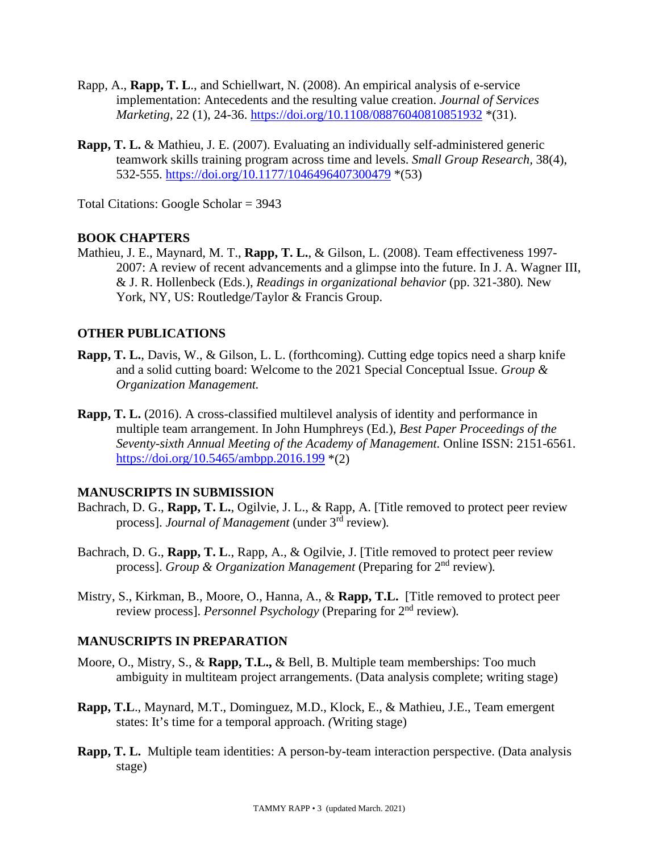- Rapp, A., **Rapp, T. L**., and Schiellwart, N. (2008). An empirical analysis of e-service implementation: Antecedents and the resulting value creation. *Journal of Services Marketing*, 22 (1), 24-36.<https://doi.org/10.1108/08876040810851932> \*(31).
- **Rapp, T. L.** & Mathieu, J. E. (2007). Evaluating an individually self-administered generic teamwork skills training program across time and levels. *Small Group Research,* 38(4), 532-555. <https://doi.org/10.1177/1046496407300479> \*(53)

Total Citations: Google Scholar = 3943

#### **BOOK CHAPTERS**

Mathieu, J. E., Maynard, M. T., **Rapp, T. L.**, & Gilson, L. (2008). Team effectiveness 1997- 2007: A review of recent advancements and a glimpse into the future. In J. A. Wagner III, & J. R. Hollenbeck (Eds.), *Readings in organizational behavior* (pp. 321-380)*.* New York, NY, US: Routledge/Taylor & Francis Group.

### **OTHER PUBLICATIONS**

- **Rapp, T. L.**, Davis, W., & Gilson, L. L. (forthcoming). Cutting edge topics need a sharp knife and a solid cutting board: Welcome to the 2021 Special Conceptual Issue. *Group & Organization Management.*
- **Rapp, T. L.** (2016). A cross-classified multilevel analysis of identity and performance in multiple team arrangement. In John Humphreys (Ed.), *Best Paper Proceedings of the Seventy-sixth Annual Meeting of the Academy of Management.* Online ISSN: 2151-6561. <https://doi.org/10.5465/ambpp.2016.199> \*(2)

#### **MANUSCRIPTS IN SUBMISSION**

- Bachrach, D. G., **Rapp, T. L.**, Ogilvie, J. L., & Rapp, A. [Title removed to protect peer review process]. *Journal of Management* (under 3rd review)*.*
- Bachrach, D. G., **Rapp, T. L**., Rapp, A., & Ogilvie, J. [Title removed to protect peer review process]. *Group & Organization Management* (Preparing for 2nd review)*.*
- Mistry, S., Kirkman, B., Moore, O., Hanna, A., & **Rapp, T.L.** [Title removed to protect peer review process]. *Personnel Psychology* (Preparing for 2nd review)*.*

#### **MANUSCRIPTS IN PREPARATION**

- Moore, O., Mistry, S., & **Rapp, T.L.,** & Bell, B. Multiple team memberships: Too much ambiguity in multiteam project arrangements. (Data analysis complete; writing stage)
- **Rapp, T.L**., Maynard, M.T., Dominguez, M.D., Klock, E., & Mathieu, J.E., Team emergent states: It's time for a temporal approach. *(*Writing stage)
- **Rapp, T. L.** Multiple team identities: A person-by-team interaction perspective. (Data analysis stage)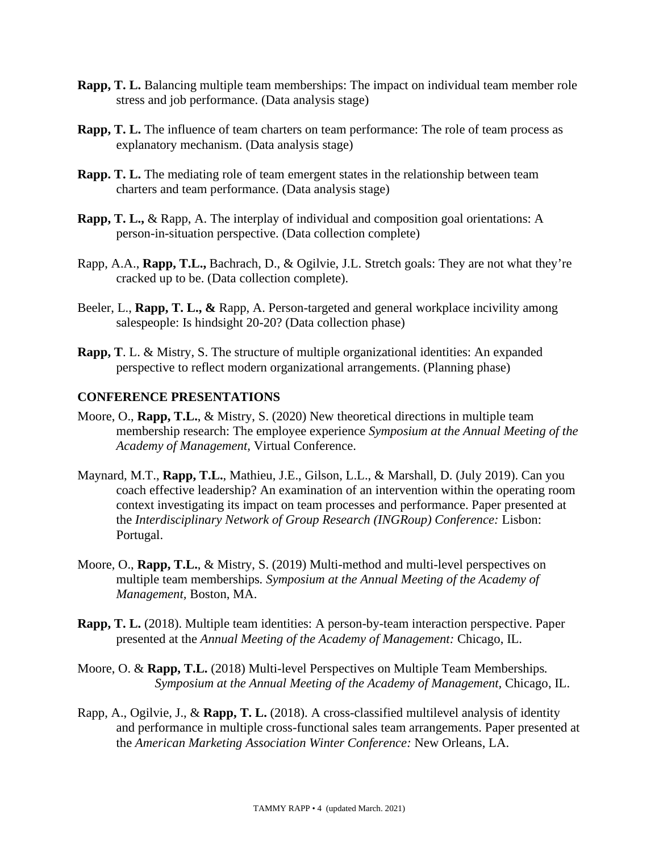- **Rapp, T. L.** Balancing multiple team memberships: The impact on individual team member role stress and job performance. (Data analysis stage)
- **Rapp, T. L.** The influence of team charters on team performance: The role of team process as explanatory mechanism. (Data analysis stage)
- **Rapp. T. L.** The mediating role of team emergent states in the relationship between team charters and team performance. (Data analysis stage)
- **Rapp, T. L.,** & Rapp, A. The interplay of individual and composition goal orientations: A person-in-situation perspective. (Data collection complete)
- Rapp, A.A., **Rapp, T.L.,** Bachrach, D., & Ogilvie, J.L. Stretch goals: They are not what they're cracked up to be. (Data collection complete).
- Beeler, L., **Rapp, T. L., &** Rapp, A. Person-targeted and general workplace incivility among salespeople: Is hindsight 20-20? (Data collection phase)
- **Rapp, T**. L. & Mistry, S. The structure of multiple organizational identities: An expanded perspective to reflect modern organizational arrangements. (Planning phase)

### **CONFERENCE PRESENTATIONS**

- Moore, O., **Rapp, T.L.**, & Mistry, S. (2020) New theoretical directions in multiple team membership research: The employee experience *Symposium at the Annual Meeting of the Academy of Management,* Virtual Conference.
- Maynard, M.T., **Rapp, T.L.**, Mathieu, J.E., Gilson, L.L., & Marshall, D. (July 2019). Can you coach effective leadership? An examination of an intervention within the operating room context investigating its impact on team processes and performance. Paper presented at the *Interdisciplinary Network of Group Research (INGRoup) Conference:* Lisbon: Portugal.
- Moore, O., **Rapp, T.L.**, & Mistry, S. (2019) Multi-method and multi-level perspectives on multiple team memberships*. Symposium at the Annual Meeting of the Academy of Management,* Boston, MA.
- **Rapp, T. L.** (2018). Multiple team identities: A person-by-team interaction perspective. Paper presented at the *Annual Meeting of the Academy of Management:* Chicago, IL.
- Moore, O. & **Rapp, T.L.** (2018) Multi-level Perspectives on Multiple Team Memberships*. Symposium at the Annual Meeting of the Academy of Management,* Chicago, IL.
- Rapp, A., Ogilvie, J., & **Rapp, T. L.** (2018). A cross-classified multilevel analysis of identity and performance in multiple cross-functional sales team arrangements. Paper presented at the *American Marketing Association Winter Conference:* New Orleans, LA.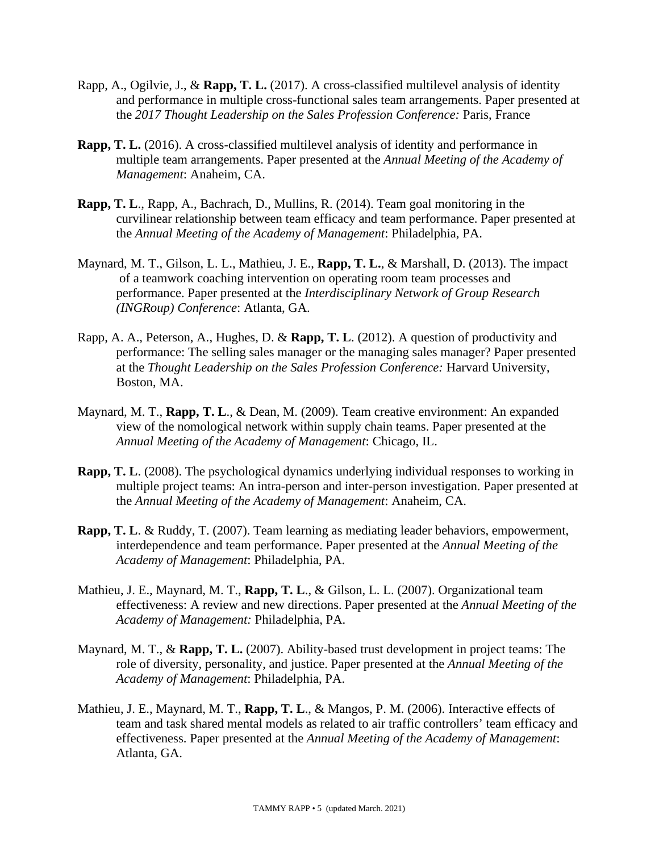- Rapp, A., Ogilvie, J., & **Rapp, T. L.** (2017). A cross-classified multilevel analysis of identity and performance in multiple cross-functional sales team arrangements. Paper presented at the *2017 Thought Leadership on the Sales Profession Conference:* Paris, France
- **Rapp, T. L.** (2016). A cross-classified multilevel analysis of identity and performance in multiple team arrangements. Paper presented at the *Annual Meeting of the Academy of Management*: Anaheim, CA.
- **Rapp, T. L**., Rapp, A., Bachrach, D., Mullins, R. (2014). Team goal monitoring in the curvilinear relationship between team efficacy and team performance. Paper presented at the *Annual Meeting of the Academy of Management*: Philadelphia, PA.
- Maynard, M. T., Gilson, L. L., Mathieu, J. E., **Rapp, T. L.**, & Marshall, D. (2013). The impact of a teamwork coaching intervention on operating room team processes and performance. Paper presented at the *Interdisciplinary Network of Group Research (INGRoup) Conference*: Atlanta, GA.
- Rapp, A. A., Peterson, A., Hughes, D. & **Rapp, T. L**. (2012). A question of productivity and performance: The selling sales manager or the managing sales manager? Paper presented at the *Thought Leadership on the Sales Profession Conference:* Harvard University, Boston, MA.
- Maynard, M. T., **Rapp, T. L**., & Dean, M. (2009). Team creative environment: An expanded view of the nomological network within supply chain teams. Paper presented at the *Annual Meeting of the Academy of Management*: Chicago, IL.
- **Rapp, T. L**. (2008). The psychological dynamics underlying individual responses to working in multiple project teams: An intra-person and inter-person investigation. Paper presented at the *Annual Meeting of the Academy of Management*: Anaheim, CA.
- **Rapp, T. L**. & Ruddy, T. (2007). Team learning as mediating leader behaviors, empowerment, interdependence and team performance. Paper presented at the *Annual Meeting of the Academy of Management*: Philadelphia, PA.
- Mathieu, J. E., Maynard, M. T., **Rapp, T. L**., & Gilson, L. L. (2007). Organizational team effectiveness: A review and new directions. Paper presented at the *Annual Meeting of the Academy of Management:* Philadelphia, PA.
- Maynard, M. T., & **Rapp, T. L.** (2007). Ability-based trust development in project teams: The role of diversity, personality, and justice. Paper presented at the *Annual Meeting of the Academy of Management*: Philadelphia, PA.
- Mathieu, J. E., Maynard, M. T., **Rapp, T. L**., & Mangos, P. M. (2006). Interactive effects of team and task shared mental models as related to air traffic controllers' team efficacy and effectiveness. Paper presented at the *Annual Meeting of the Academy of Management*: Atlanta, GA.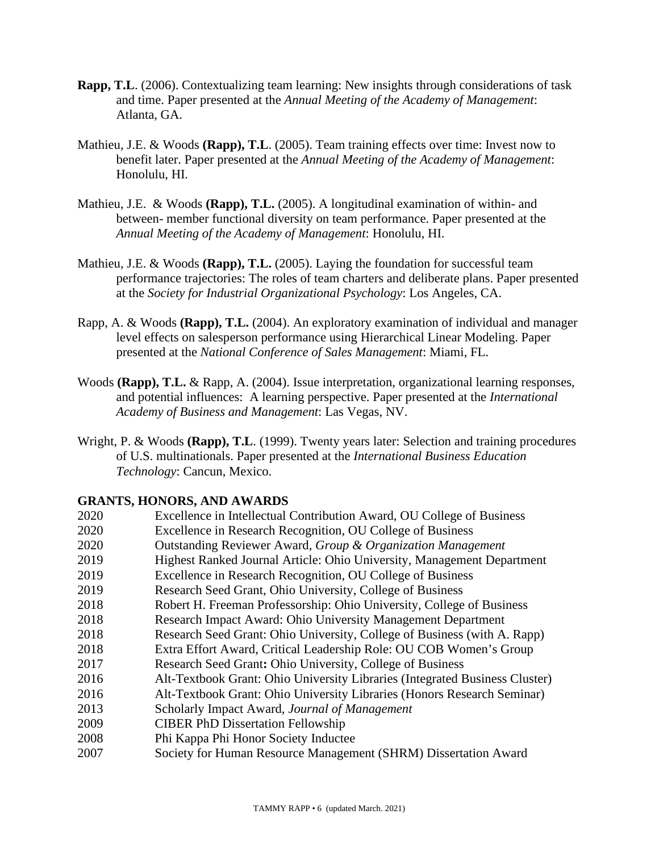- **Rapp, T.L**. (2006). Contextualizing team learning: New insights through considerations of task and time. Paper presented at the *Annual Meeting of the Academy of Management*: Atlanta, GA.
- Mathieu, J.E. & Woods **(Rapp), T.L**. (2005). Team training effects over time: Invest now to benefit later. Paper presented at the *Annual Meeting of the Academy of Management*: Honolulu, HI.
- Mathieu, J.E. & Woods **(Rapp), T.L.** (2005). A longitudinal examination of within- and between- member functional diversity on team performance. Paper presented at the *Annual Meeting of the Academy of Management*: Honolulu, HI.
- Mathieu, J.E. & Woods **(Rapp), T.L.** (2005). Laying the foundation for successful team performance trajectories: The roles of team charters and deliberate plans. Paper presented at the *Society for Industrial Organizational Psychology*: Los Angeles, CA.
- Rapp, A. & Woods **(Rapp), T.L.** (2004). An exploratory examination of individual and manager level effects on salesperson performance using Hierarchical Linear Modeling. Paper presented at the *National Conference of Sales Management*: Miami, FL.
- Woods **(Rapp), T.L.** & Rapp, A. (2004). Issue interpretation, organizational learning responses, and potential influences: A learning perspective. Paper presented at the *International Academy of Business and Management*: Las Vegas, NV.
- Wright, P. & Woods **(Rapp), T.L**. (1999). Twenty years later: Selection and training procedures of U.S. multinationals. Paper presented at the *International Business Education Technology*: Cancun, Mexico.

#### **GRANTS, HONORS, AND AWARDS**

 Excellence in Intellectual Contribution Award, OU College of Business Excellence in Research Recognition, OU College of Business Outstanding Reviewer Award, *Group & Organization Management* 2019 Highest Ranked Journal Article: Ohio University, Management Department Excellence in Research Recognition, OU College of Business Research Seed Grant, Ohio University, College of Business Robert H. Freeman Professorship: Ohio University, College of Business Research Impact Award: Ohio University Management Department Research Seed Grant: Ohio University, College of Business (with A. Rapp) 2018 Extra Effort Award, Critical Leadership Role: OU COB Women's Group Research Seed Grant**:** Ohio University, College of Business Alt-Textbook Grant: Ohio University Libraries (Integrated Business Cluster) Alt-Textbook Grant: Ohio University Libraries (Honors Research Seminar) Scholarly Impact Award, *Journal of Management* CIBER PhD Dissertation Fellowship Phi Kappa Phi Honor Society Inductee Society for Human Resource Management (SHRM) Dissertation Award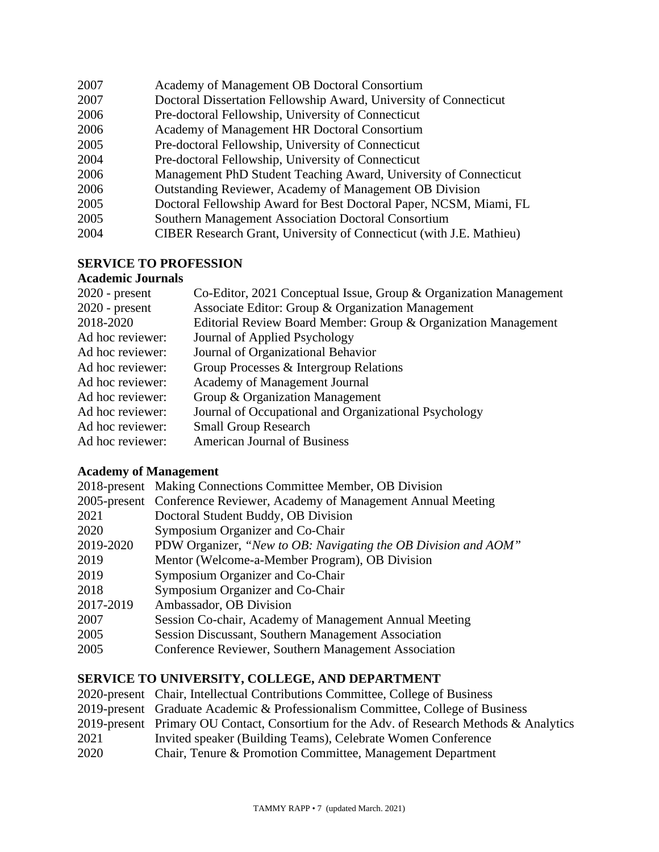| 2007 | Academy of Management OB Doctoral Consortium                               |
|------|----------------------------------------------------------------------------|
| 2007 | Doctoral Dissertation Fellowship Award, University of Connecticut          |
| 2006 | Pre-doctoral Fellowship, University of Connecticut                         |
| 2006 | Academy of Management HR Doctoral Consortium                               |
| 2005 | Pre-doctoral Fellowship, University of Connecticut                         |
| 2004 | Pre-doctoral Fellowship, University of Connecticut                         |
| 2006 | Management PhD Student Teaching Award, University of Connecticut           |
| 2006 | Outstanding Reviewer, Academy of Management OB Division                    |
| 2005 | Doctoral Fellowship Award for Best Doctoral Paper, NCSM, Miami, FL         |
| 2005 | Southern Management Association Doctoral Consortium                        |
| 2004 | <b>CIBER Research Grant, University of Connecticut (with J.E. Mathieu)</b> |
|      |                                                                            |

## **SERVICE TO PROFESSION**

## **Academic Journals**

| $2020$ - present | Co-Editor, 2021 Conceptual Issue, Group & Organization Management |
|------------------|-------------------------------------------------------------------|
| $2020$ - present | Associate Editor: Group & Organization Management                 |
| 2018-2020        | Editorial Review Board Member: Group & Organization Management    |
| Ad hoc reviewer: | Journal of Applied Psychology                                     |
| Ad hoc reviewer: | Journal of Organizational Behavior                                |
| Ad hoc reviewer: | Group Processes & Intergroup Relations                            |
| Ad hoc reviewer: | Academy of Management Journal                                     |
| Ad hoc reviewer: | Group & Organization Management                                   |
| Ad hoc reviewer: | Journal of Occupational and Organizational Psychology             |
| Ad hoc reviewer: | <b>Small Group Research</b>                                       |
| Ad hoc reviewer: | <b>American Journal of Business</b>                               |
|                  |                                                                   |

# **Academy of Management**

| 2018-present Making Connections Committee Member, OB Division          |
|------------------------------------------------------------------------|
| 2005-present Conference Reviewer, Academy of Management Annual Meeting |
| Doctoral Student Buddy, OB Division                                    |
| Symposium Organizer and Co-Chair                                       |
| PDW Organizer, "New to OB: Navigating the OB Division and AOM"         |
| Mentor (Welcome-a-Member Program), OB Division                         |
| Symposium Organizer and Co-Chair                                       |
| Symposium Organizer and Co-Chair                                       |
| Ambassador, OB Division                                                |
| Session Co-chair, Academy of Management Annual Meeting                 |
| Session Discussant, Southern Management Association                    |
| Conference Reviewer, Southern Management Association                   |
|                                                                        |

### **SERVICE TO UNIVERSITY, COLLEGE, AND DEPARTMENT**

|      | 2020-present Chair, Intellectual Contributions Committee, College of Business            |
|------|------------------------------------------------------------------------------------------|
|      | 2019-present Graduate Academic & Professionalism Committee, College of Business          |
|      | 2019-present Primary OU Contact, Consortium for the Adv. of Research Methods & Analytics |
| 2021 | Invited speaker (Building Teams), Celebrate Women Conference                             |
| 2020 | Chair, Tenure & Promotion Committee, Management Department                               |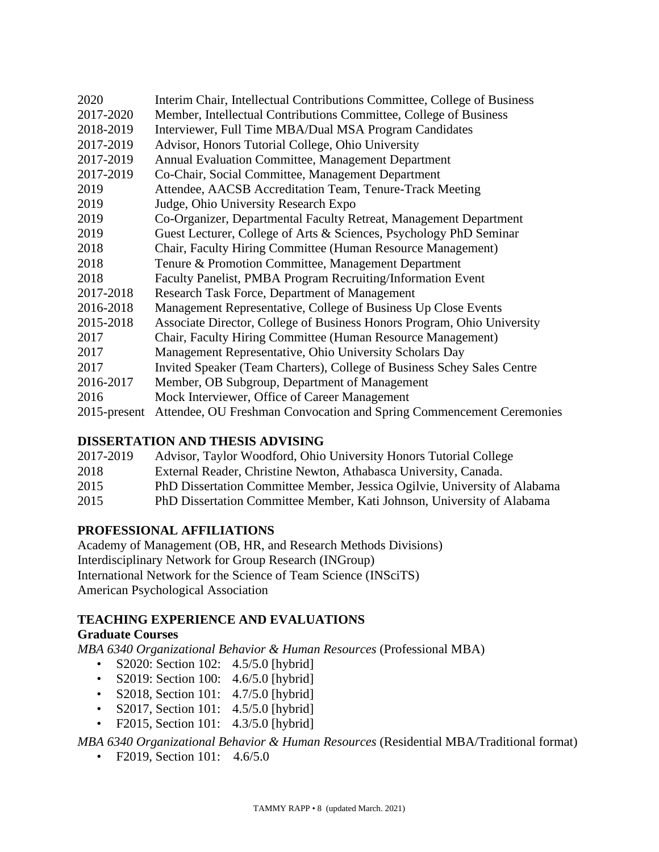| 2020            | Interim Chair, Intellectual Contributions Committee, College of Business |
|-----------------|--------------------------------------------------------------------------|
| 2017-2020       | Member, Intellectual Contributions Committee, College of Business        |
| 2018-2019       | Interviewer, Full Time MBA/Dual MSA Program Candidates                   |
| 2017-2019       | Advisor, Honors Tutorial College, Ohio University                        |
| 2017-2019       | <b>Annual Evaluation Committee, Management Department</b>                |
| 2017-2019       | Co-Chair, Social Committee, Management Department                        |
| 2019            | Attendee, AACSB Accreditation Team, Tenure-Track Meeting                 |
| 2019            | Judge, Ohio University Research Expo                                     |
| 2019            | Co-Organizer, Departmental Faculty Retreat, Management Department        |
| 2019            | Guest Lecturer, College of Arts & Sciences, Psychology PhD Seminar       |
| 2018            | Chair, Faculty Hiring Committee (Human Resource Management)              |
| 2018            | Tenure & Promotion Committee, Management Department                      |
| 2018            | Faculty Panelist, PMBA Program Recruiting/Information Event              |
| 2017-2018       | Research Task Force, Department of Management                            |
| 2016-2018       | Management Representative, College of Business Up Close Events           |
| 2015-2018       | Associate Director, College of Business Honors Program, Ohio University  |
| 2017            | Chair, Faculty Hiring Committee (Human Resource Management)              |
| 2017            | Management Representative, Ohio University Scholars Day                  |
| 2017            | Invited Speaker (Team Charters), College of Business Schey Sales Centre  |
| 2016-2017       | Member, OB Subgroup, Department of Management                            |
| 2016            | Mock Interviewer, Office of Career Management                            |
| $2015$ -present | Attendee, OU Freshman Convocation and Spring Commencement Ceremonies     |

## **DISSERTATION AND THESIS ADVISING**

| 2017-2019 | Advisor, Taylor Woodford, Ohio University Honors Tutorial College         |
|-----------|---------------------------------------------------------------------------|
| 2018      | External Reader, Christine Newton, Athabasca University, Canada.          |
| 2015      | PhD Dissertation Committee Member, Jessica Ogilvie, University of Alabama |
| 2015      | PhD Dissertation Committee Member, Kati Johnson, University of Alabama    |

## **PROFESSIONAL AFFILIATIONS**

Academy of Management (OB, HR, and Research Methods Divisions) Interdisciplinary Network for Group Research (INGroup) International Network for the Science of Team Science (INSciTS) American Psychological Association

## **TEACHING EXPERIENCE AND EVALUATIONS**

## **Graduate Courses**

*MBA 6340 Organizational Behavior & Human Resources* (Professional MBA)

- S2020: Section 102: 4.5/5.0 [hybrid]
- S2019: Section 100: 4.6/5.0 [hybrid]
- S2018, Section 101: 4.7/5.0 [hybrid]
- S2017, Section 101: 4.5/5.0 [hybrid]
- F2015, Section 101: 4.3/5.0 [hybrid]

## *MBA 6340 Organizational Behavior & Human Resources* (Residential MBA/Traditional format)

• F2019, Section 101: 4.6/5.0